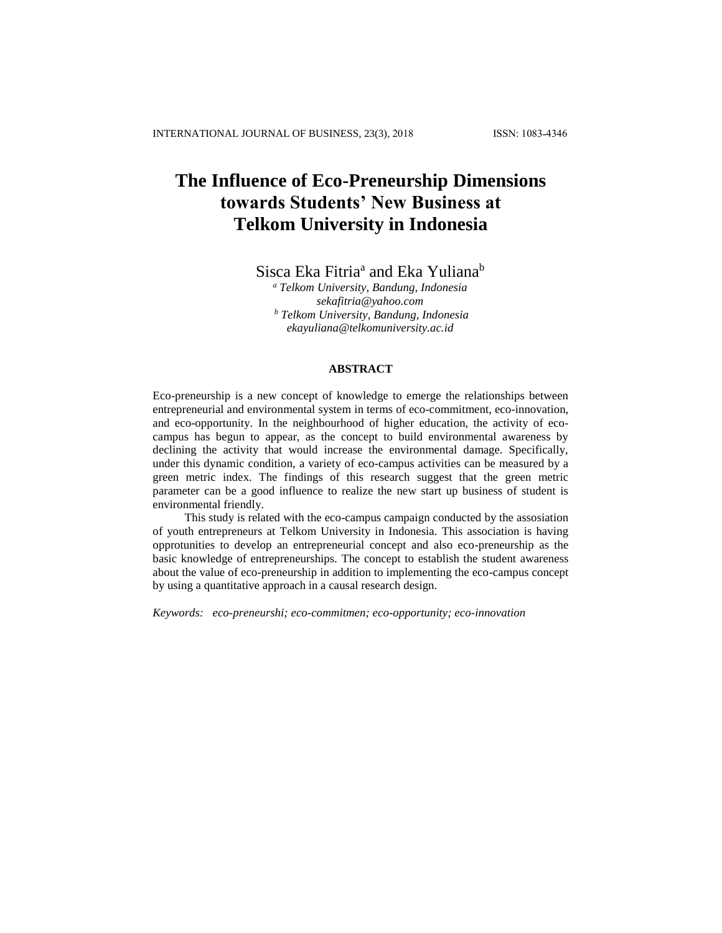# **The Influence of Eco-Preneurship Dimensions towards Students' New Business at Telkom University in Indonesia**

Sisca Eka Fitria<sup>a</sup> and Eka Yuliana<sup>b</sup>

*<sup>a</sup> Telkom University, Bandung, Indonesia [sekafitria@yahoo.com](mailto:sekafitria@yahoo.com) <sup>b</sup> Telkom University, Bandung, Indonesia ekayuliana@telkomuniversity.ac.id*

# **ABSTRACT**

Eco-preneurship is a new concept of knowledge to emerge the relationships between entrepreneurial and environmental system in terms of eco-commitment, eco-innovation, and eco-opportunity. In the neighbourhood of higher education, the activity of ecocampus has begun to appear, as the concept to build environmental awareness by declining the activity that would increase the environmental damage. Specifically, under this dynamic condition, a variety of eco-campus activities can be measured by a green metric index. The findings of this research suggest that the green metric parameter can be a good influence to realize the new start up business of student is environmental friendly.

This study is related with the eco-campus campaign conducted by the assosiation of youth entrepreneurs at Telkom University in Indonesia. This association is having opprotunities to develop an entrepreneurial concept and also eco-preneurship as the basic knowledge of entrepreneurships. The concept to establish the student awareness about the value of eco-preneurship in addition to implementing the eco-campus concept by using a quantitative approach in a causal research design.

*Keywords: eco-preneurshi; eco-commitmen; eco-opportunity; eco-innovation*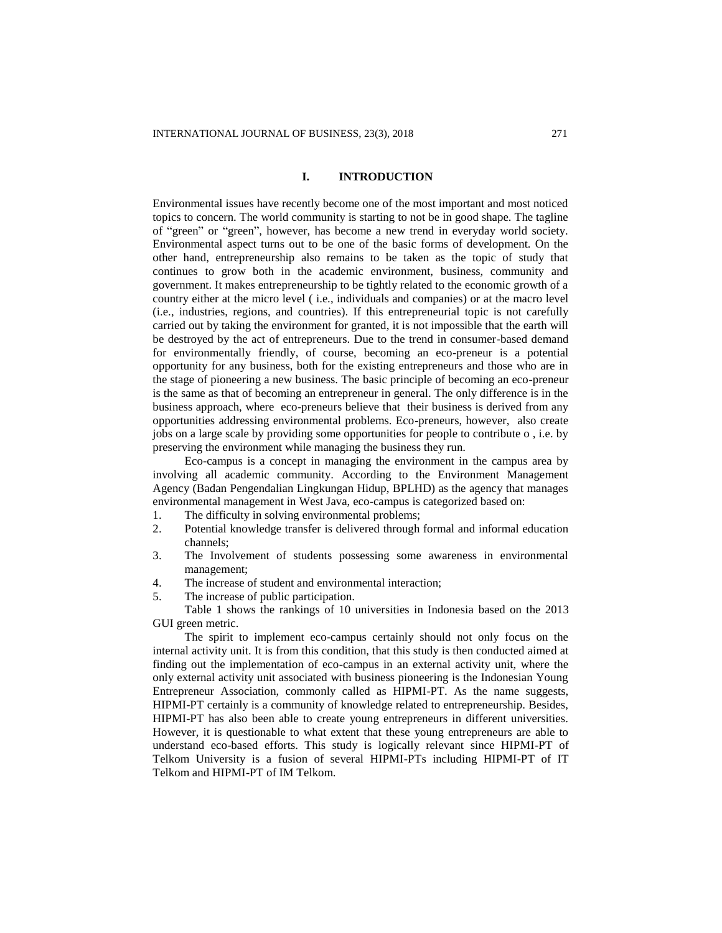#### **I. INTRODUCTION**

Environmental issues have recently become one of the most important and most noticed topics to concern. The world community is starting to not be in good shape. The tagline of "green" or "green", however, has become a new trend in everyday world society. Environmental aspect turns out to be one of the basic forms of development. On the other hand, entrepreneurship also remains to be taken as the topic of study that continues to grow both in the academic environment, business, community and government. It makes entrepreneurship to be tightly related to the economic growth of a country either at the micro level ( i.e., individuals and companies) or at the macro level (i.e., industries, regions, and countries). If this entrepreneurial topic is not carefully carried out by taking the environment for granted, it is not impossible that the earth will be destroyed by the act of entrepreneurs. Due to the trend in consumer-based demand for environmentally friendly, of course, becoming an eco-preneur is a potential opportunity for any business, both for the existing entrepreneurs and those who are in the stage of pioneering a new business. The basic principle of becoming an eco-preneur is the same as that of becoming an entrepreneur in general. The only difference is in the business approach, where eco-preneurs believe that their business is derived from any opportunities addressing environmental problems. Eco-preneurs, however, also create jobs on a large scale by providing some opportunities for people to contribute o , i.e. by preserving the environment while managing the business they run.

Eco-campus is a concept in managing the environment in the campus area by involving all academic community. According to the Environment Management Agency (Badan Pengendalian Lingkungan Hidup, BPLHD) as the agency that manages environmental management in West Java, eco-campus is categorized based on:

- 1. The difficulty in solving environmental problems;
- 2. Potential knowledge transfer is delivered through formal and informal education channels;
- 3. The Involvement of students possessing some awareness in environmental management;
- 4. The increase of student and environmental interaction;
- 5. The increase of public participation.

Table 1 shows the rankings of 10 universities in Indonesia based on the 2013 GUI green metric.

The spirit to implement eco-campus certainly should not only focus on the internal activity unit. It is from this condition, that this study is then conducted aimed at finding out the implementation of eco-campus in an external activity unit, where the only external activity unit associated with business pioneering is the Indonesian Young Entrepreneur Association, commonly called as HIPMI-PT. As the name suggests, HIPMI-PT certainly is a community of knowledge related to entrepreneurship. Besides, HIPMI-PT has also been able to create young entrepreneurs in different universities. However, it is questionable to what extent that these young entrepreneurs are able to understand eco-based efforts. This study is logically relevant since HIPMI-PT of Telkom University is a fusion of several HIPMI-PTs including HIPMI-PT of IT Telkom and HIPMI-PT of IM Telkom.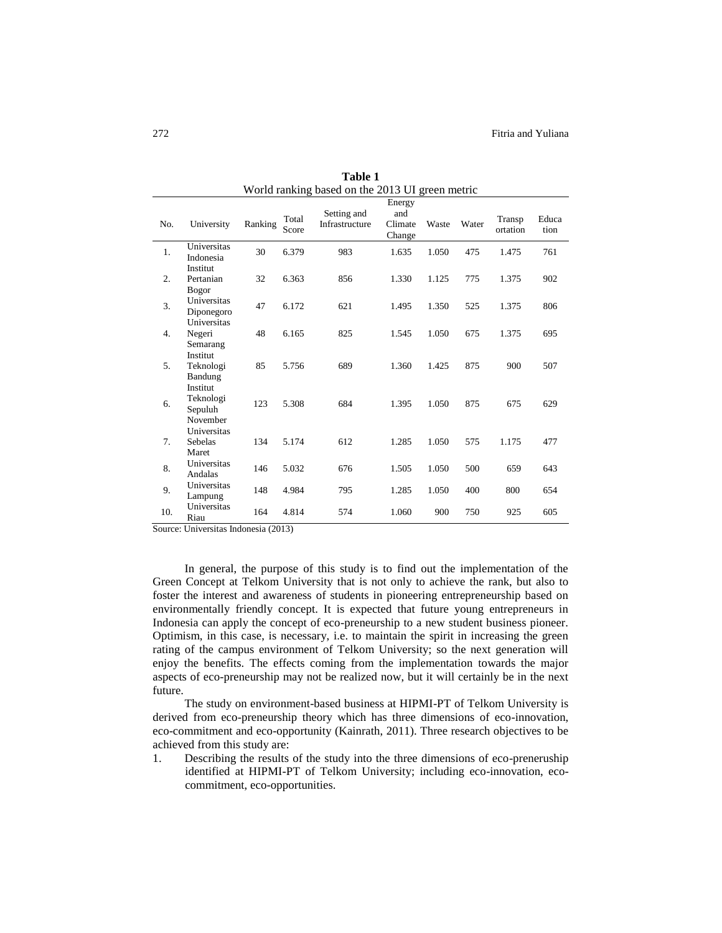|     |                                              |         |                | $\frac{1}{2}$ raining based on the 2019 OT green metric |                                    |       |       |                    |               |
|-----|----------------------------------------------|---------|----------------|---------------------------------------------------------|------------------------------------|-------|-------|--------------------|---------------|
| No. | University                                   | Ranking | Total<br>Score | Setting and<br>Infrastructure                           | Energy<br>and<br>Climate<br>Change | Waste | Water | Transp<br>ortation | Educa<br>tion |
| 1.  | Universitas<br>Indonesia                     | 30      | 6.379          | 983                                                     | 1.635                              | 1.050 | 475   | 1.475              | 761           |
| 2.  | Institut<br>Pertanian<br>Bogor               | 32      | 6.363          | 856                                                     | 1.330                              | 1.125 | 775   | 1.375              | 902           |
| 3.  | Universitas<br>Diponegoro<br>Universitas     | 47      | 6.172          | 621                                                     | 1.495                              | 1.350 | 525   | 1.375              | 806           |
| 4.  | Negeri<br>Semarang                           | 48      | 6.165          | 825                                                     | 1.545                              | 1.050 | 675   | 1.375              | 695           |
| 5.  | Institut<br>Teknologi<br>Bandung             | 85      | 5.756          | 689                                                     | 1.360                              | 1.425 | 875   | 900                | 507           |
| 6.  | Institut<br>Teknologi<br>Sepuluh<br>November | 123     | 5.308          | 684                                                     | 1.395                              | 1.050 | 875   | 675                | 629           |
| 7.  | Universitas<br>Sebelas<br>Maret              | 134     | 5.174          | 612                                                     | 1.285                              | 1.050 | 575   | 1.175              | 477           |
| 8.  | Universitas<br>Andalas                       | 146     | 5.032          | 676                                                     | 1.505                              | 1.050 | 500   | 659                | 643           |
| 9.  | Universitas<br>Lampung                       | 148     | 4.984          | 795                                                     | 1.285                              | 1.050 | 400   | 800                | 654           |
| 10. | Universitas<br>Riau                          | 164     | 4.814          | 574                                                     | 1.060                              | 900   | 750   | 925                | 605           |

**Table 1** World ranking based on the 2013 UI green metric

Source: Universitas Indonesia (2013)

In general, the purpose of this study is to find out the implementation of the Green Concept at Telkom University that is not only to achieve the rank, but also to foster the interest and awareness of students in pioneering entrepreneurship based on environmentally friendly concept. It is expected that future young entrepreneurs in Indonesia can apply the concept of eco-preneurship to a new student business pioneer. Optimism, in this case, is necessary, i.e. to maintain the spirit in increasing the green rating of the campus environment of Telkom University; so the next generation will enjoy the benefits. The effects coming from the implementation towards the major aspects of eco-preneurship may not be realized now, but it will certainly be in the next future.

The study on environment-based business at HIPMI-PT of Telkom University is derived from eco-preneurship theory which has three dimensions of eco-innovation, eco-commitment and eco-opportunity (Kainrath, 2011). Three research objectives to be achieved from this study are:

1. Describing the results of the study into the three dimensions of eco-preneruship identified at HIPMI-PT of Telkom University; including eco-innovation, ecocommitment, eco-opportunities.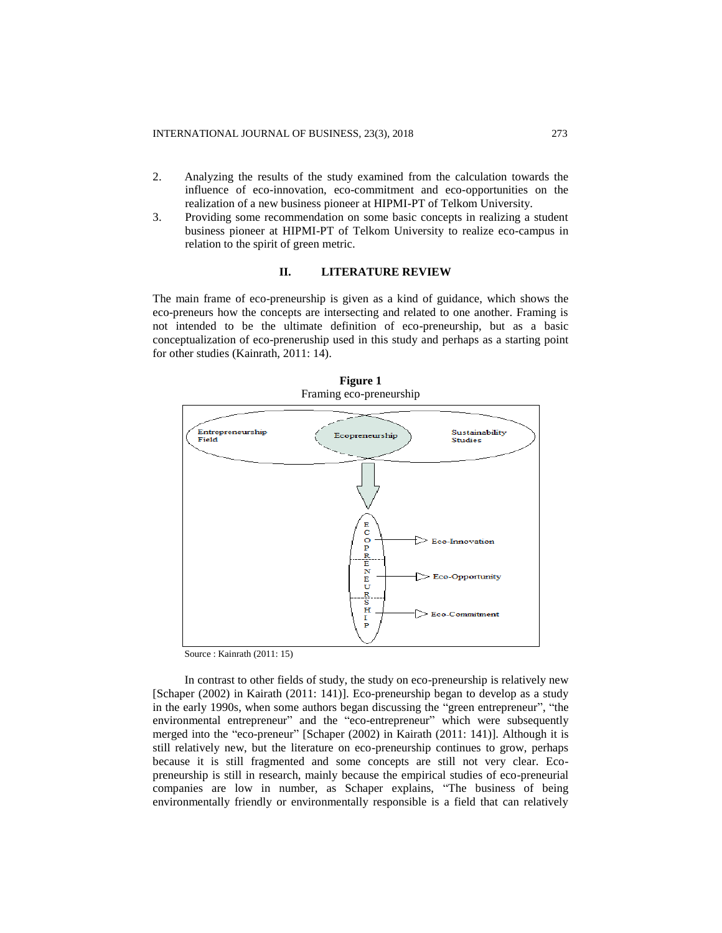- 2. Analyzing the results of the study examined from the calculation towards the influence of eco-innovation, eco-commitment and eco-opportunities on the realization of a new business pioneer at HIPMI-PT of Telkom University.
- 3. Providing some recommendation on some basic concepts in realizing a student business pioneer at HIPMI-PT of Telkom University to realize eco-campus in relation to the spirit of green metric.

# **II. LITERATURE REVIEW**

The main frame of eco-preneurship is given as a kind of guidance, which shows the eco-preneurs how the concepts are intersecting and related to one another. Framing is not intended to be the ultimate definition of eco-preneurship, but as a basic conceptualization of eco-preneruship used in this study and perhaps as a starting point for other studies (Kainrath, 2011: 14).



**Figure 1** Framing eco-preneurship

Source : Kainrath (2011: 15)

In contrast to other fields of study, the study on eco-preneurship is relatively new [Schaper (2002) in Kairath (2011: 141)]. Eco-preneurship began to develop as a study in the early 1990s, when some authors began discussing the "green entrepreneur", "the environmental entrepreneur" and the "eco-entrepreneur" which were subsequently merged into the "eco-preneur" [Schaper (2002) in Kairath (2011: 141)]. Although it is still relatively new, but the literature on eco-preneurship continues to grow, perhaps because it is still fragmented and some concepts are still not very clear. Ecopreneurship is still in research, mainly because the empirical studies of eco-preneurial companies are low in number, as Schaper explains, "The business of being environmentally friendly or environmentally responsible is a field that can relatively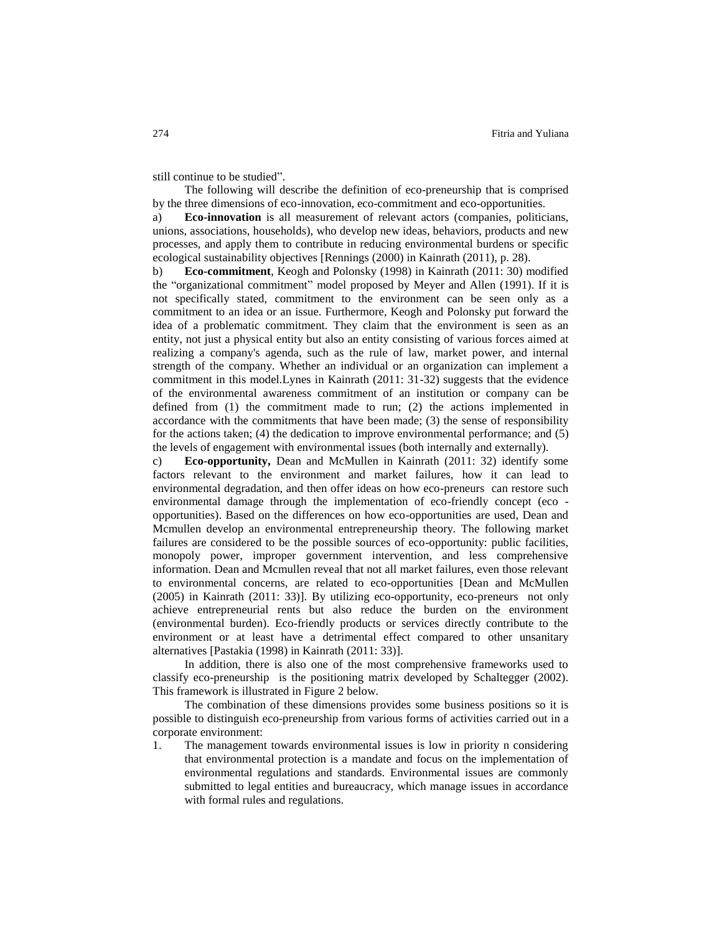still continue to be studied".

The following will describe the definition of eco-preneurship that is comprised by the three dimensions of eco-innovation, eco-commitment and eco-opportunities.

a) **Eco-innovation** is all measurement of relevant actors (companies, politicians, unions, associations, households), who develop new ideas, behaviors, products and new processes, and apply them to contribute in reducing environmental burdens or specific ecological sustainability objectives [Rennings (2000) in Kainrath (2011), p. 28).

b) **Eco-commitment**, Keogh and Polonsky (1998) in Kainrath (2011: 30) modified the "organizational commitment" model proposed by Meyer and Allen (1991). If it is not specifically stated, commitment to the environment can be seen only as a commitment to an idea or an issue. Furthermore, Keogh and Polonsky put forward the idea of a problematic commitment. They claim that the environment is seen as an entity, not just a physical entity but also an entity consisting of various forces aimed at realizing a company's agenda, such as the rule of law, market power, and internal strength of the company. Whether an individual or an organization can implement a commitment in this model.Lynes in Kainrath (2011: 31-32) suggests that the evidence of the environmental awareness commitment of an institution or company can be defined from (1) the commitment made to run; (2) the actions implemented in accordance with the commitments that have been made; (3) the sense of responsibility for the actions taken; (4) the dedication to improve environmental performance; and (5) the levels of engagement with environmental issues (both internally and externally).

c) **Eco-opportunity,** Dean and McMullen in Kainrath (2011: 32) identify some factors relevant to the environment and market failures, how it can lead to environmental degradation, and then offer ideas on how eco-preneurs can restore such environmental damage through the implementation of eco-friendly concept (eco opportunities). Based on the differences on how eco-opportunities are used, Dean and Mcmullen develop an environmental entrepreneurship theory. The following market failures are considered to be the possible sources of eco-opportunity: public facilities, monopoly power, improper government intervention, and less comprehensive information. Dean and Mcmullen reveal that not all market failures, even those relevant to environmental concerns, are related to eco-opportunities [Dean and McMullen (2005) in Kainrath (2011: 33)]. By utilizing eco-opportunity, eco-preneurs not only achieve entrepreneurial rents but also reduce the burden on the environment (environmental burden). Eco-friendly products or services directly contribute to the environment or at least have a detrimental effect compared to other unsanitary alternatives [Pastakia (1998) in Kainrath (2011: 33)].

In addition, there is also one of the most comprehensive frameworks used to classify eco-preneurship is the positioning matrix developed by Schaltegger (2002). This framework is illustrated in Figure 2 below.

The combination of these dimensions provides some business positions so it is possible to distinguish eco-preneurship from various forms of activities carried out in a corporate environment:

1. The management towards environmental issues is low in priority n considering that environmental protection is a mandate and focus on the implementation of environmental regulations and standards. Environmental issues are commonly submitted to legal entities and bureaucracy, which manage issues in accordance with formal rules and regulations.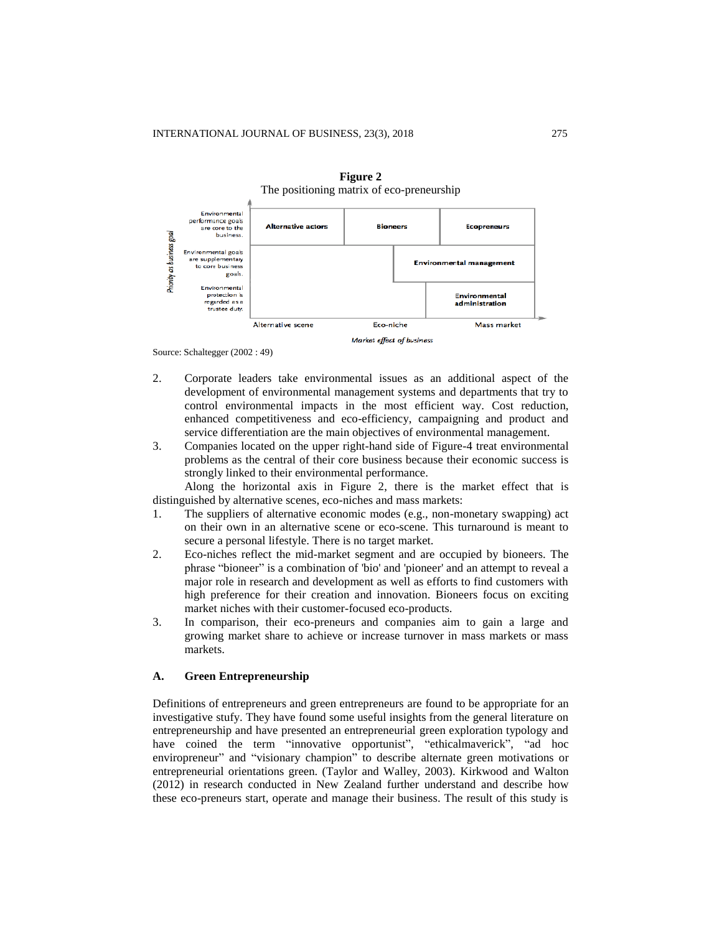



Source: Schaltegger (2002 : 49)

2. Corporate leaders take environmental issues as an additional aspect of the development of environmental management systems and departments that try to control environmental impacts in the most efficient way. Cost reduction, enhanced competitiveness and eco-efficiency, campaigning and product and service differentiation are the main objectives of environmental management.

Market effect of business

3. Companies located on the upper right-hand side of Figure-4 treat environmental problems as the central of their core business because their economic success is strongly linked to their environmental performance.

Along the horizontal axis in Figure 2, there is the market effect that is distinguished by alternative scenes, eco-niches and mass markets:

- 1. The suppliers of alternative economic modes (e.g., non-monetary swapping) act on their own in an alternative scene or eco-scene. This turnaround is meant to secure a personal lifestyle. There is no target market.
- 2. Eco-niches reflect the mid-market segment and are occupied by bioneers. The phrase "bioneer" is a combination of 'bio' and 'pioneer' and an attempt to reveal a major role in research and development as well as efforts to find customers with high preference for their creation and innovation. Bioneers focus on exciting market niches with their customer-focused eco-products.
- 3. In comparison, their eco-preneurs and companies aim to gain a large and growing market share to achieve or increase turnover in mass markets or mass markets.

#### **A. Green Entrepreneurship**

Definitions of entrepreneurs and green entrepreneurs are found to be appropriate for an investigative stufy. They have found some useful insights from the general literature on entrepreneurship and have presented an entrepreneurial green exploration typology and have coined the term "innovative opportunist", "ethicalmaverick", "ad hoc enviropreneur" and "visionary champion" to describe alternate green motivations or entrepreneurial orientations green. (Taylor and Walley, 2003). Kirkwood and Walton (2012) in research conducted in New Zealand further understand and describe how these eco-preneurs start, operate and manage their business. The result of this study is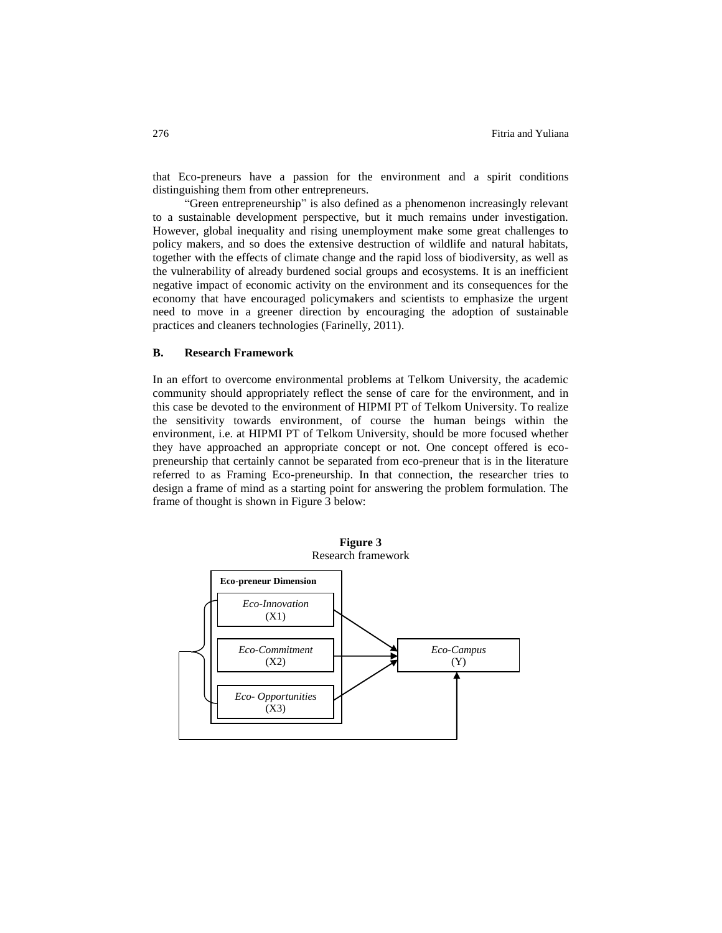that Eco-preneurs have a passion for the environment and a spirit conditions distinguishing them from other entrepreneurs.

"Green entrepreneurship" is also defined as a phenomenon increasingly relevant to a sustainable development perspective, but it much remains under investigation. However, global inequality and rising unemployment make some great challenges to policy makers, and so does the extensive destruction of wildlife and natural habitats, together with the effects of climate change and the rapid loss of biodiversity, as well as the vulnerability of already burdened social groups and ecosystems. It is an inefficient negative impact of economic activity on the environment and its consequences for the economy that have encouraged policymakers and scientists to emphasize the urgent need to move in a greener direction by encouraging the adoption of sustainable practices and cleaners technologies (Farinelly, 2011).

### **B. Research Framework**

In an effort to overcome environmental problems at Telkom University, the academic community should appropriately reflect the sense of care for the environment, and in this case be devoted to the environment of HIPMI PT of Telkom University. To realize the sensitivity towards environment, of course the human beings within the environment, i.e. at HIPMI PT of Telkom University, should be more focused whether they have approached an appropriate concept or not. One concept offered is ecopreneurship that certainly cannot be separated from eco-preneur that is in the literature referred to as Framing Eco-preneurship. In that connection, the researcher tries to design a frame of mind as a starting point for answering the problem formulation. The frame of thought is shown in Figure 3 below:



**Figure 3**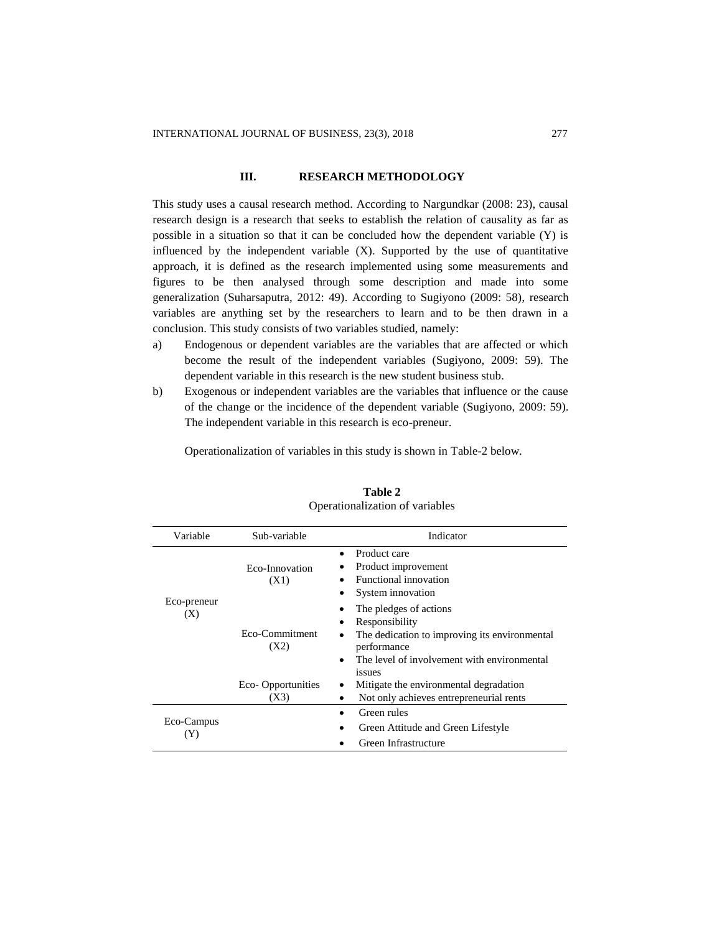#### **III. RESEARCH METHODOLOGY**

This study uses a causal research method. According to Nargundkar (2008: 23), causal research design is a research that seeks to establish the relation of causality as far as possible in a situation so that it can be concluded how the dependent variable  $(Y)$  is influenced by the independent variable  $(X)$ . Supported by the use of quantitative approach, it is defined as the research implemented using some measurements and figures to be then analysed through some description and made into some generalization (Suharsaputra, 2012: 49). According to Sugiyono (2009: 58), research variables are anything set by the researchers to learn and to be then drawn in a conclusion. This study consists of two variables studied, namely:

- a) Endogenous or dependent variables are the variables that are affected or which become the result of the independent variables (Sugiyono, 2009: 59). The dependent variable in this research is the new student business stub.
- b) Exogenous or independent variables are the variables that influence or the cause of the change or the incidence of the dependent variable (Sugiyono, 2009: 59). The independent variable in this research is eco-preneur.

Operationalization of variables in this study is shown in Table-2 below.

| Variable           | Sub-variable              | Indicator                                                                                                                                                                      |  |  |  |  |
|--------------------|---------------------------|--------------------------------------------------------------------------------------------------------------------------------------------------------------------------------|--|--|--|--|
|                    | Eco-Innovation<br>(X1)    | Product care<br>Product improvement<br>Functional innovation<br>System innovation                                                                                              |  |  |  |  |
| Eco-preneur<br>(X) | Eco-Commitment<br>(X2)    | The pledges of actions<br>Responsibility<br>The dedication to improving its environmental<br>performance<br>The level of involvement with environmental<br>$\bullet$<br>issues |  |  |  |  |
|                    | Eco-Opportunities<br>(X3) | Mitigate the environmental degradation<br>Not only achieves entrepreneurial rents                                                                                              |  |  |  |  |
| Eco-Campus<br>(Y)  |                           | Green rules<br>Green Attitude and Green Lifestyle<br>Green Infrastructure                                                                                                      |  |  |  |  |

# **Table 2** Operationalization of variables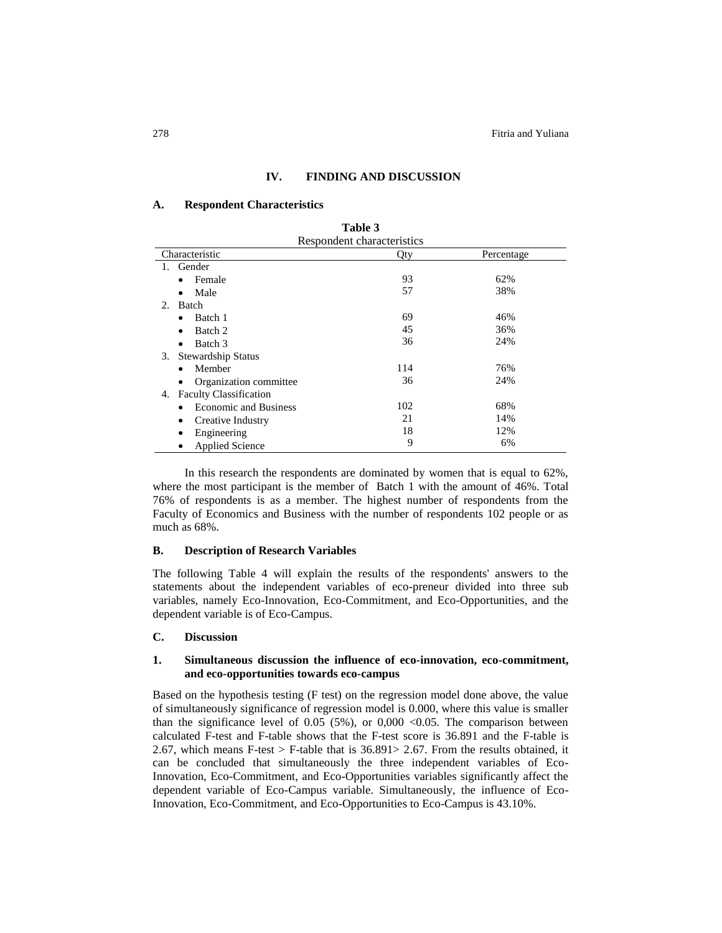#### **IV. FINDING AND DISCUSSION**

#### **A. Respondent Characteristics**

| Table 3                             |     |            |  |  |  |
|-------------------------------------|-----|------------|--|--|--|
| Respondent characteristics          |     |            |  |  |  |
| Characteristic                      | Qty | Percentage |  |  |  |
| Gender<br>1.                        |     |            |  |  |  |
| Female<br>٠                         | 93  | 62%        |  |  |  |
| Male<br>٠                           | 57  | 38%        |  |  |  |
| Batch<br>$2^{2}$                    |     |            |  |  |  |
| Batch 1<br>٠                        | 69  | 46%        |  |  |  |
| Batch 2                             | 45  | 36%        |  |  |  |
| Batch 3<br>٠                        | 36  | 24%        |  |  |  |
| Stewardship Status<br>3.            |     |            |  |  |  |
| Member                              | 114 | 76%        |  |  |  |
| Organization committee              | 36  | 24%        |  |  |  |
| <b>Faculty Classification</b><br>4. |     |            |  |  |  |
| <b>Economic and Business</b>        | 102 | 68%        |  |  |  |
| Creative Industry<br>٠              | 21  | 14%        |  |  |  |
| Engineering                         | 18  | 12%        |  |  |  |
| <b>Applied Science</b>              | 9   | 6%         |  |  |  |

In this research the respondents are dominated by women that is equal to 62%, where the most participant is the member of Batch 1 with the amount of 46%. Total 76% of respondents is as a member. The highest number of respondents from the Faculty of Economics and Business with the number of respondents 102 people or as much as 68%.

#### **B. Description of Research Variables**

The following Table 4 will explain the results of the respondents' answers to the statements about the independent variables of eco-preneur divided into three sub variables, namely Eco-Innovation, Eco-Commitment, and Eco-Opportunities, and the dependent variable is of Eco-Campus.

#### **C. Discussion**

# **1. Simultaneous discussion the influence of eco-innovation, eco-commitment, and eco-opportunities towards eco-campus**

Based on the hypothesis testing (F test) on the regression model done above, the value of simultaneously significance of regression model is 0.000, where this value is smaller than the significance level of 0.05 (5%), or 0,000 <0.05. The comparison between calculated F-test and F-table shows that the F-test score is 36.891 and the F-table is 2.67, which means F-test  $>$  F-table that is 36.891 $>$  2.67. From the results obtained, it can be concluded that simultaneously the three independent variables of Eco-Innovation, Eco-Commitment, and Eco-Opportunities variables significantly affect the dependent variable of Eco-Campus variable. Simultaneously, the influence of Eco-Innovation, Eco-Commitment, and Eco-Opportunities to Eco-Campus is 43.10%.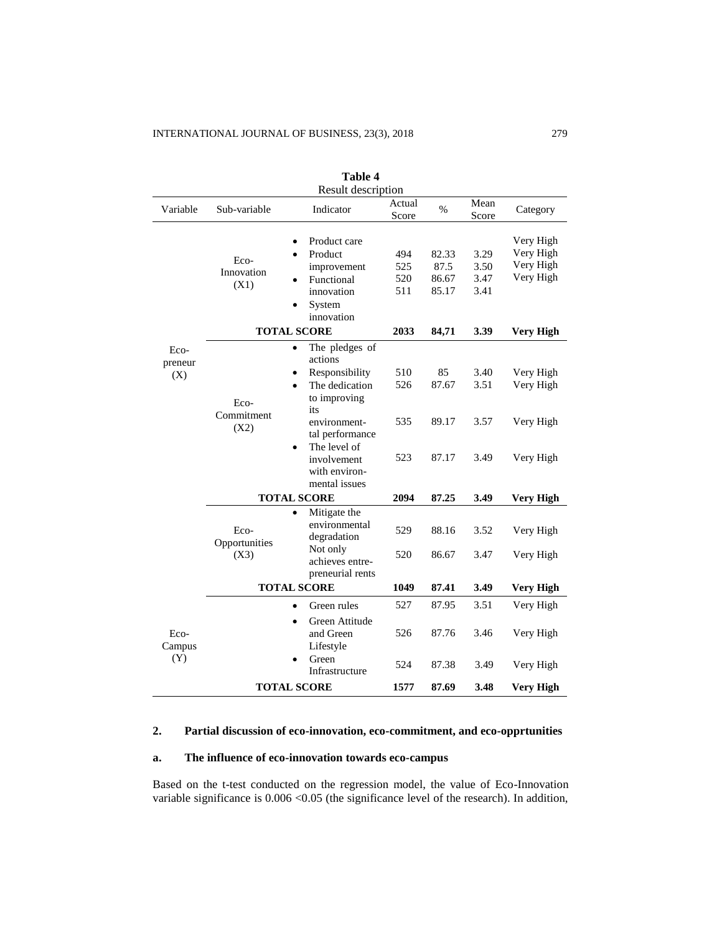| таріе 4<br>Result description |                               |                                                                                                                                                                                                                    |                          |                                 |                              |                                                  |  |
|-------------------------------|-------------------------------|--------------------------------------------------------------------------------------------------------------------------------------------------------------------------------------------------------------------|--------------------------|---------------------------------|------------------------------|--------------------------------------------------|--|
| Variable                      | Sub-variable                  | Indicator                                                                                                                                                                                                          | Actual<br>Score          | $\%$                            | Mean<br>Score                | Category                                         |  |
|                               | Eco-<br>Innovation<br>(X1)    | Product care<br>Product<br>improvement<br>Functional<br>innovation<br>System<br>innovation                                                                                                                         | 494<br>525<br>520<br>511 | 82.33<br>87.5<br>86.67<br>85.17 | 3.29<br>3.50<br>3.47<br>3.41 | Very High<br>Very High<br>Very High<br>Very High |  |
|                               | <b>TOTAL SCORE</b>            | 2033                                                                                                                                                                                                               | 84,71                    | 3.39                            | <b>Very High</b>             |                                                  |  |
| Eco-<br>preneur<br>(X)        | Eco-<br>Commitment<br>(X2)    | The pledges of<br>actions<br>Responsibility<br>The dedication<br>$\bullet$<br>to improving<br>its<br>environment-<br>tal performance<br>The level of<br>$\bullet$<br>involvement<br>with environ-<br>mental issues | 510<br>526<br>535<br>523 | 85<br>87.67<br>89.17<br>87.17   | 3.40<br>3.51<br>3.57<br>3.49 | Very High<br>Very High<br>Very High<br>Very High |  |
|                               | <b>TOTAL SCORE</b>            |                                                                                                                                                                                                                    | 2094                     | 87.25                           | 3.49                         | <b>Very High</b>                                 |  |
|                               | Eco-<br>Opportunities<br>(X3) | Mitigate the<br>$\bullet$<br>environmental<br>degradation<br>Not only<br>achieves entre-<br>preneurial rents                                                                                                       | 529<br>520               | 88.16<br>86.67                  | 3.52<br>3.47                 | Very High<br>Very High                           |  |
|                               | <b>TOTAL SCORE</b>            |                                                                                                                                                                                                                    | 1049                     | 87.41                           | 3.49                         | <b>Very High</b>                                 |  |
|                               |                               | Green rules<br>Green Attitude<br>$\bullet$                                                                                                                                                                         | 527                      | 87.95                           | 3.51                         | Very High                                        |  |
| Eco-<br>Campus<br>(Y)         |                               | and Green<br>Lifestyle<br>Green<br>Infrastructure                                                                                                                                                                  | 526<br>524               | 87.76<br>87.38                  | 3.46<br>3.49                 | Very High<br>Very High                           |  |
|                               | <b>TOTAL SCORE</b>            | 1577                                                                                                                                                                                                               | 87.69                    | 3.48                            | Very High                    |                                                  |  |

**Table 4**

# **2. Partial discussion of eco-innovation, eco-commitment, and eco-opprtunities**

# **a. The influence of eco-innovation towards eco-campus**

Based on the t-test conducted on the regression model, the value of Eco-Innovation variable significance is  $0.006 \le 0.05$  (the significance level of the research). In addition,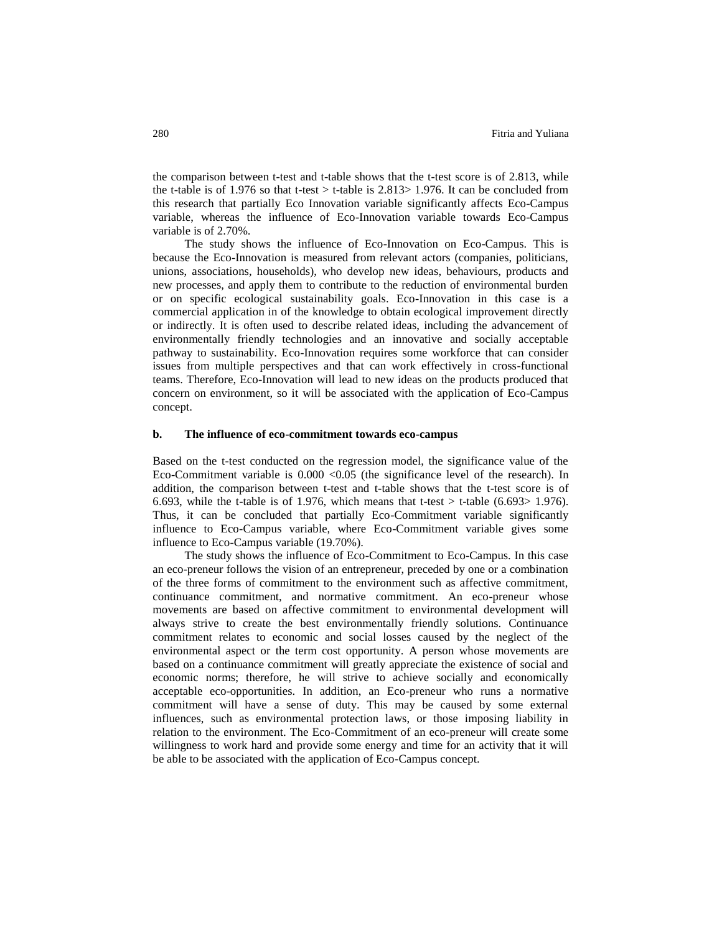the comparison between t-test and t-table shows that the t-test score is of 2.813, while the t-table is of 1.976 so that t-test  $>$  t-table is 2.813 $>$  1.976. It can be concluded from this research that partially Eco Innovation variable significantly affects Eco-Campus variable, whereas the influence of Eco-Innovation variable towards Eco-Campus variable is of 2.70%.

The study shows the influence of Eco-Innovation on Eco-Campus. This is because the Eco-Innovation is measured from relevant actors (companies, politicians, unions, associations, households), who develop new ideas, behaviours, products and new processes, and apply them to contribute to the reduction of environmental burden or on specific ecological sustainability goals. Eco-Innovation in this case is a commercial application in of the knowledge to obtain ecological improvement directly or indirectly. It is often used to describe related ideas, including the advancement of environmentally friendly technologies and an innovative and socially acceptable pathway to sustainability. Eco-Innovation requires some workforce that can consider issues from multiple perspectives and that can work effectively in cross-functional teams. Therefore, Eco-Innovation will lead to new ideas on the products produced that concern on environment, so it will be associated with the application of Eco-Campus concept.

#### **b. The influence of eco-commitment towards eco-campus**

Based on the t-test conducted on the regression model, the significance value of the Eco-Commitment variable is  $0.000 \le 0.05$  (the significance level of the research). In addition, the comparison between t-test and t-table shows that the t-test score is of 6.693, while the t-table is of 1.976, which means that t-test  $>$  t-table (6.693 $>$  1.976). Thus, it can be concluded that partially Eco-Commitment variable significantly influence to Eco-Campus variable, where Eco-Commitment variable gives some influence to Eco-Campus variable (19.70%).

The study shows the influence of Eco-Commitment to Eco-Campus. In this case an eco-preneur follows the vision of an entrepreneur, preceded by one or a combination of the three forms of commitment to the environment such as affective commitment, continuance commitment, and normative commitment. An eco-preneur whose movements are based on affective commitment to environmental development will always strive to create the best environmentally friendly solutions. Continuance commitment relates to economic and social losses caused by the neglect of the environmental aspect or the term cost opportunity. A person whose movements are based on a continuance commitment will greatly appreciate the existence of social and economic norms; therefore, he will strive to achieve socially and economically acceptable eco-opportunities. In addition, an Eco-preneur who runs a normative commitment will have a sense of duty. This may be caused by some external influences, such as environmental protection laws, or those imposing liability in relation to the environment. The Eco-Commitment of an eco-preneur will create some willingness to work hard and provide some energy and time for an activity that it will be able to be associated with the application of Eco-Campus concept.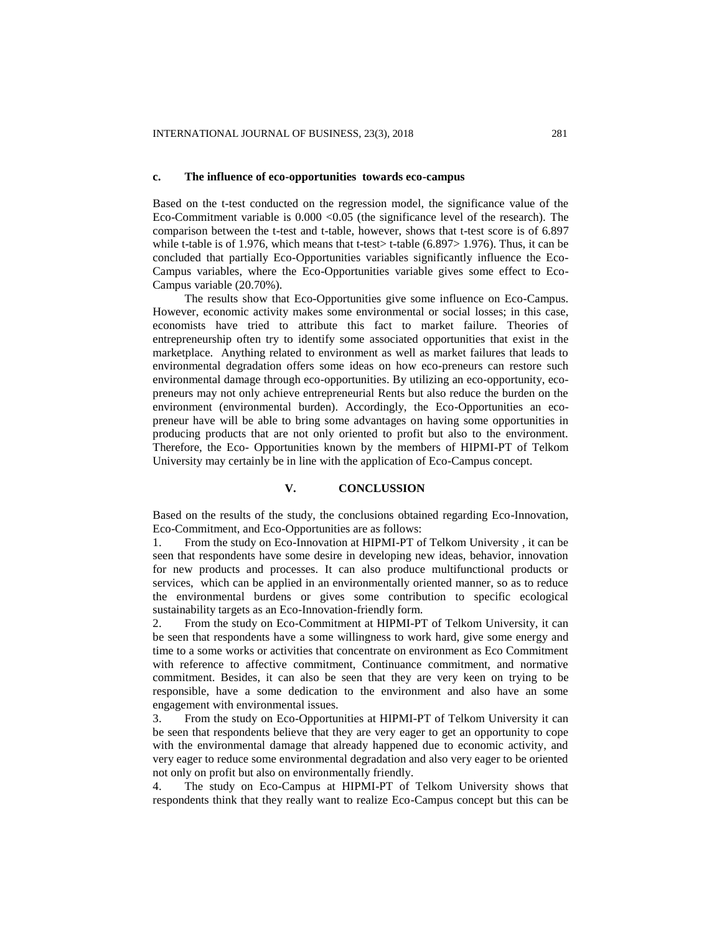#### **c. The influence of eco-opportunities towards eco-campus**

Based on the t-test conducted on the regression model, the significance value of the Eco-Commitment variable is  $0.000 \le 0.05$  (the significance level of the research). The comparison between the t-test and t-table, however, shows that t-test score is of 6.897 while t-table is of 1.976, which means that t-test $>$  t-table (6.897 $>$  1.976). Thus, it can be concluded that partially Eco-Opportunities variables significantly influence the Eco-Campus variables, where the Eco-Opportunities variable gives some effect to Eco-Campus variable (20.70%).

The results show that Eco-Opportunities give some influence on Eco-Campus. However, economic activity makes some environmental or social losses; in this case, economists have tried to attribute this fact to market failure. Theories of entrepreneurship often try to identify some associated opportunities that exist in the marketplace. Anything related to environment as well as market failures that leads to environmental degradation offers some ideas on how eco-preneurs can restore such environmental damage through eco-opportunities. By utilizing an eco-opportunity, ecopreneurs may not only achieve entrepreneurial Rents but also reduce the burden on the environment (environmental burden). Accordingly, the Eco-Opportunities an ecopreneur have will be able to bring some advantages on having some opportunities in producing products that are not only oriented to profit but also to the environment. Therefore, the Eco- Opportunities known by the members of HIPMI-PT of Telkom University may certainly be in line with the application of Eco-Campus concept.

#### **V. CONCLUSSION**

Based on the results of the study, the conclusions obtained regarding Eco-Innovation, Eco-Commitment, and Eco-Opportunities are as follows:

1. From the study on Eco-Innovation at HIPMI-PT of Telkom University , it can be seen that respondents have some desire in developing new ideas, behavior, innovation for new products and processes. It can also produce multifunctional products or services, which can be applied in an environmentally oriented manner, so as to reduce the environmental burdens or gives some contribution to specific ecological sustainability targets as an Eco-Innovation-friendly form.

2. From the study on Eco-Commitment at HIPMI-PT of Telkom University, it can be seen that respondents have a some willingness to work hard, give some energy and time to a some works or activities that concentrate on environment as Eco Commitment with reference to affective commitment, Continuance commitment, and normative commitment. Besides, it can also be seen that they are very keen on trying to be responsible, have a some dedication to the environment and also have an some engagement with environmental issues.

3. From the study on Eco-Opportunities at HIPMI-PT of Telkom University it can be seen that respondents believe that they are very eager to get an opportunity to cope with the environmental damage that already happened due to economic activity, and very eager to reduce some environmental degradation and also very eager to be oriented not only on profit but also on environmentally friendly.

4. The study on Eco-Campus at HIPMI-PT of Telkom University shows that respondents think that they really want to realize Eco-Campus concept but this can be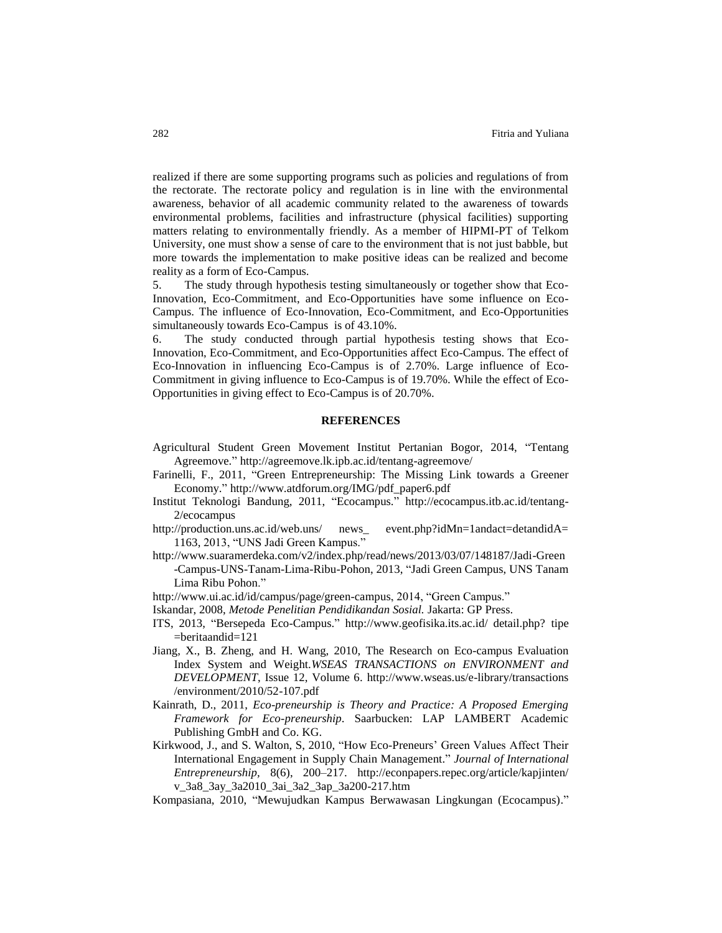realized if there are some supporting programs such as policies and regulations of from the rectorate. The rectorate policy and regulation is in line with the environmental awareness, behavior of all academic community related to the awareness of towards environmental problems, facilities and infrastructure (physical facilities) supporting matters relating to environmentally friendly. As a member of HIPMI-PT of Telkom University, one must show a sense of care to the environment that is not just babble, but more towards the implementation to make positive ideas can be realized and become reality as a form of Eco-Campus.

5. The study through hypothesis testing simultaneously or together show that Eco-Innovation, Eco-Commitment, and Eco-Opportunities have some influence on Eco-Campus. The influence of Eco-Innovation, Eco-Commitment, and Eco-Opportunities simultaneously towards Eco-Campus is of 43.10%.

6. The study conducted through partial hypothesis testing shows that Eco-Innovation, Eco-Commitment, and Eco-Opportunities affect Eco-Campus. The effect of Eco-Innovation in influencing Eco-Campus is of 2.70%. Large influence of Eco-Commitment in giving influence to Eco-Campus is of 19.70%. While the effect of Eco-Opportunities in giving effect to Eco-Campus is of 20.70%.

# **REFERENCES**

- Agricultural Student Green Movement Institut Pertanian Bogor, 2014, "Tentang Agreemove." <http://agreemove.lk.ipb.ac.id/tentang-agreemove/>
- Farinelli, F., 2011, "Green Entrepreneurship: The Missing Link towards a Greener Economy." [http://www.atdforum.org/IMG/pdf\\_paper6.pdf](http://www.atdforum.org/IMG/pdf_paper6.pdf)
- Institut Teknologi Bandung, 2011, "Ecocampus." [http://ecocampus.itb.ac.id/tentang-](http://ecocampus.itb.ac.id/tentang-2/ecocampus)[2/ecocampus](http://ecocampus.itb.ac.id/tentang-2/ecocampus)
- [http://production.uns.ac.id/web.uns/ news\\_ event.php?idMn=1andact=detandidA=](http://production.uns.ac.id/web.uns/%20news_%20event.php?idMn=1andact=detandidA=%201163)  [1163,](http://production.uns.ac.id/web.uns/%20news_%20event.php?idMn=1andact=detandidA=%201163) 2013, "UNS Jadi Green Kampus."
- [http://www.suaramerdeka.com/v2/index.php/read/news/2013/03/07/148187/Jadi-Green](http://www.suaramerdeka.com/v2/index.php/read/news/2013/03/07/148187/Jadi-Green%20-Campus-UNS-Tanam-Lima-Ribu-Pohon)  [-Campus-UNS-Tanam-Lima-Ribu-Pohon,](http://www.suaramerdeka.com/v2/index.php/read/news/2013/03/07/148187/Jadi-Green%20-Campus-UNS-Tanam-Lima-Ribu-Pohon) 2013, "Jadi Green Campus, UNS Tanam Lima Ribu Pohon."
- [http://www.ui.ac.id/id/campus/page/green-campus,](http://www.ui.ac.id/id/campus/page/green-campus) 2014, "Green Campus."
- Iskandar, 2008, *Metode Penelitian Pendidikandan Sosial.* Jakarta: GP Press.
- ITS, 2013, "Bersepeda Eco-Campus." http://www.geofisika.its.ac.id/ detail.php? tipe =beritaandid=121
- Jiang, X., B. Zheng, and H. Wang, 2010, The Research on Eco-campus Evaluation Index System and Weight.*WSEAS TRANSACTIONS on ENVIRONMENT and DEVELOPMENT*, Issue 12, Volume 6. [http://www.wseas.us/e-library/transactions](http://www.wseas.us/e-library/transactions%20/environment/2010/52-107.pdf)  [/environment/2010/52-107.pdf](http://www.wseas.us/e-library/transactions%20/environment/2010/52-107.pdf)
- Kainrath, D., 2011, *Eco-preneurship is Theory and Practice: A Proposed Emerging Framework for Eco-preneurship*. Saarbucken: LAP LAMBERT Academic Publishing GmbH and Co. KG.
- Kirkwood, J., and S. Walton, S, 2010, "How Eco-Preneurs' Green Values Affect Their International Engagement in Supply Chain Management." *Journal of International Entrepreneurship,* 8(6), 200–217. [http://econpapers.repec.org/article/kapjinten/](http://econpapers.repec.org/article/kapjinten/%20v_3a8_3ay_3a2010_3ai_3a2_3ap_3a200-217.htm) [v\\_3a8\\_3ay\\_3a2010\\_3ai\\_3a2\\_3ap\\_3a200-217.htm](http://econpapers.repec.org/article/kapjinten/%20v_3a8_3ay_3a2010_3ai_3a2_3ap_3a200-217.htm)
- Kompasiana, 2010, "Mewujudkan Kampus Berwawasan Lingkungan (Ecocampus)."